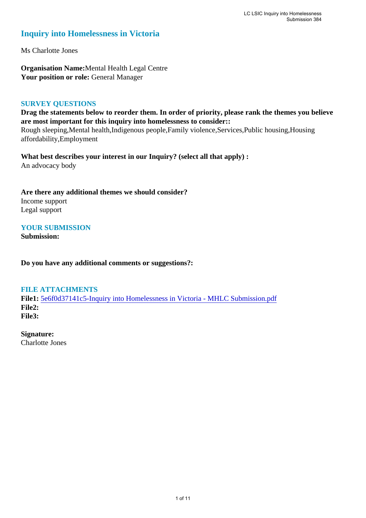### **Inquiry into Homelessness in Victoria**

Ms Charlotte Jones

**Organisation Name:**Mental Health Legal Centre Your position or role: General Manager

#### **SURVEY QUESTIONS**

**Drag the statements below to reorder them. In order of priority, please rank the themes you believe are most important for this inquiry into homelessness to consider::**  Rough sleeping,Mental health,Indigenous people,Family violence,Services,Public housing,Housing affordability,Employment

**What best describes your interest in our Inquiry? (select all that apply) :**  An advocacy body

**Are there any additional themes we should consider?** Income support Legal support

#### **YOUR SUBMISSION**

**Submission:** 

**Do you have any additional comments or suggestions?:** 

#### **FILE ATTACHMENTS**

**File1:** [5e6f0d37141c5-Inquiry into Homelessness in Victoria - MHLC Submission.pdf](https://www.parliament.vic.gov.au/component/rsform/submission-view-file/6e5d18ed21568d6b338589e7948fe597/8aac7e3275968e9a574b4718b1a514d5?Itemid=463) **File2: File3:** 

**Signature:** Charlotte Jones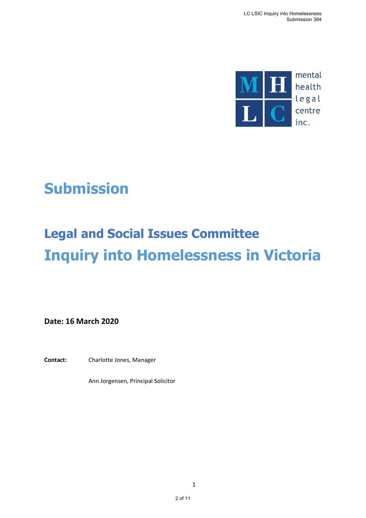

# **Submission**

# **Legal and Social Issues Committee Inquiry into Homelessness in Victoria**

**Date: 16 March 2020**

**Contact:** Charlotte Jones, Manager

Ann Jorgensen, Principal Solicitor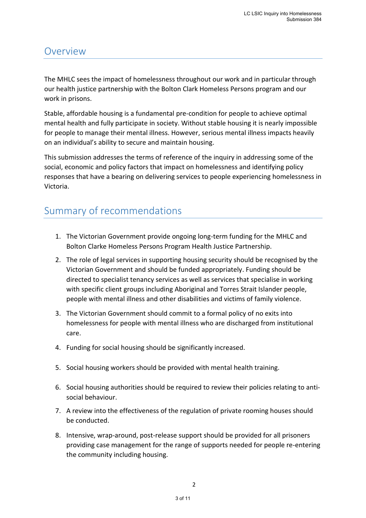### Overview

The MHLC sees the impact of homelessness throughout our work and in particular through our health justice partnership with the Bolton Clark Homeless Persons program and our work in prisons.

Stable, affordable housing is a fundamental pre-condition for people to achieve optimal mental health and fully participate in society. Without stable housing it is nearly impossible for people to manage their mental illness. However, serious mental illness impacts heavily on an individual's ability to secure and maintain housing.

This submission addresses the terms of reference of the inquiry in addressing some of the social, economic and policy factors that impact on homelessness and identifying policy responses that have a bearing on delivering services to people experiencing homelessness in Victoria.

# Summary of recommendations

- 1. The Victorian Government provide ongoing long-term funding for the MHLC and Bolton Clarke Homeless Persons Program Health Justice Partnership.
- 2. The role of legal services in supporting housing security should be recognised by the Victorian Government and should be funded appropriately. Funding should be directed to specialist tenancy services as well as services that specialise in working with specific client groups including Aboriginal and Torres Strait Islander people, people with mental illness and other disabilities and victims of family violence.
- 3. The Victorian Government should commit to a formal policy of no exits into homelessness for people with mental illness who are discharged from institutional care.
- 4. Funding for social housing should be significantly increased.
- 5. Social housing workers should be provided with mental health training.
- 6. Social housing authorities should be required to review their policies relating to antisocial behaviour.
- 7. A review into the effectiveness of the regulation of private rooming houses should be conducted.
- 8. Intensive, wrap-around, post-release support should be provided for all prisoners providing case management for the range of supports needed for people re-entering the community including housing.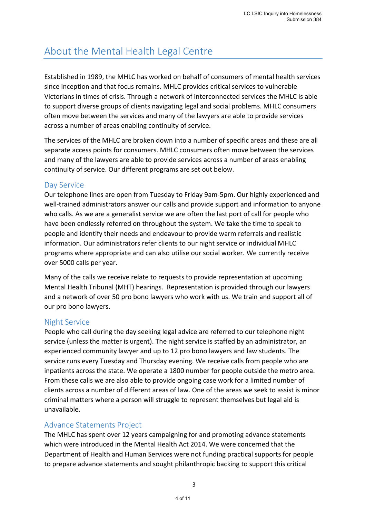# About the Mental Health Legal Centre

Established in 1989, the MHLC has worked on behalf of consumers of mental health services since inception and that focus remains. MHLC provides critical services to vulnerable Victorians in times of crisis. Through a network of interconnected services the MHLC is able to support diverse groups of clients navigating legal and social problems. MHLC consumers often move between the services and many of the lawyers are able to provide services across a number of areas enabling continuity of service.

The services of the MHLC are broken down into a number of specific areas and these are all separate access points for consumers. MHLC consumers often move between the services and many of the lawyers are able to provide services across a number of areas enabling continuity of service. Our different programs are set out below.

### Day Service

Our telephone lines are open from Tuesday to Friday 9am-5pm. Our highly experienced and well-trained administrators answer our calls and provide support and information to anyone who calls. As we are a generalist service we are often the last port of call for people who have been endlessly referred on throughout the system. We take the time to speak to people and identify their needs and endeavour to provide warm referrals and realistic information. Our administrators refer clients to our night service or individual MHLC programs where appropriate and can also utilise our social worker. We currently receive over 5000 calls per year.

Many of the calls we receive relate to requests to provide representation at upcoming Mental Health Tribunal (MHT) hearings. Representation is provided through our lawyers and a network of over 50 pro bono lawyers who work with us. We train and support all of our pro bono lawyers.

### Night Service

People who call during the day seeking legal advice are referred to our telephone night service (unless the matter is urgent). The night service is staffed by an administrator, an experienced community lawyer and up to 12 pro bono lawyers and law students. The service runs every Tuesday and Thursday evening. We receive calls from people who are inpatients across the state. We operate a 1800 number for people outside the metro area. From these calls we are also able to provide ongoing case work for a limited number of clients across a number of different areas of law. One of the areas we seek to assist is minor criminal matters where a person will struggle to represent themselves but legal aid is unavailable.

### Advance Statements Project

The MHLC has spent over 12 years campaigning for and promoting advance statements which were introduced in the Mental Health Act 2014. We were concerned that the Department of Health and Human Services were not funding practical supports for people to prepare advance statements and sought philanthropic backing to support this critical

3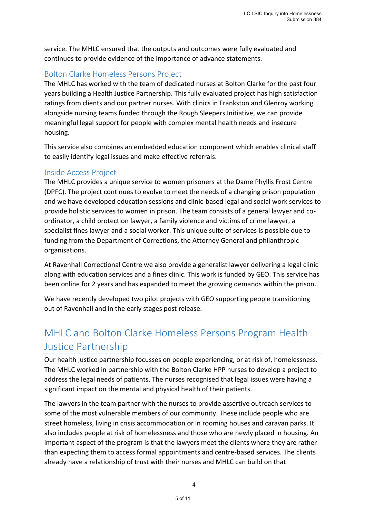service. The MHLC ensured that the outputs and outcomes were fully evaluated and continues to provide evidence of the importance of advance statements.

### Bolton Clarke Homeless Persons Project

The MHLC has worked with the team of dedicated nurses at Bolton Clarke for the past four years building a Health Justice Partnership. This fully evaluated project has high satisfaction ratings from clients and our partner nurses. With clinics in Frankston and Glenroy working alongside nursing teams funded through the Rough Sleepers Initiative, we can provide meaningful legal support for people with complex mental health needs and insecure housing.

This service also combines an embedded education component which enables clinical staff to easily identify legal issues and make effective referrals.

### Inside Access Project

The MHLC provides a unique service to women prisoners at the Dame Phyllis Frost Centre (DPFC). The project continues to evolve to meet the needs of a changing prison population and we have developed education sessions and clinic-based legal and social work services to provide holistic services to women in prison. The team consists of a general lawyer and coordinator, a child protection lawyer, a family violence and victims of crime lawyer, a specialist fines lawyer and a social worker. This unique suite of services is possible due to funding from the Department of Corrections, the Attorney General and philanthropic organisations.

At Ravenhall Correctional Centre we also provide a generalist lawyer delivering a legal clinic along with education services and a fines clinic. This work is funded by GEO. This service has been online for 2 years and has expanded to meet the growing demands within the prison.

We have recently developed two pilot projects with GEO supporting people transitioning out of Ravenhall and in the early stages post release.

# MHLC and Bolton Clarke Homeless Persons Program Health Justice Partnership

Our health justice partnership focusses on people experiencing, or at risk of, homelessness. The MHLC worked in partnership with the Bolton Clarke HPP nurses to develop a project to address the legal needs of patients. The nurses recognised that legal issues were having a significant impact on the mental and physical health of their patients.

The lawyers in the team partner with the nurses to provide assertive outreach services to some of the most vulnerable members of our community. These include people who are street homeless, living in crisis accommodation or in rooming houses and caravan parks. It also includes people at risk of homelessness and those who are newly placed in housing. An important aspect of the program is that the lawyers meet the clients where they are rather than expecting them to access formal appointments and centre-based services. The clients already have a relationship of trust with their nurses and MHLC can build on that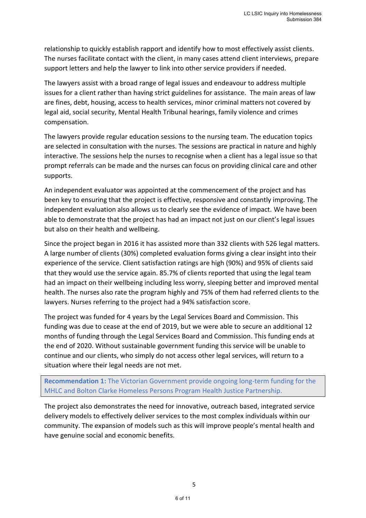relationship to quickly establish rapport and identify how to most effectively assist clients. The nurses facilitate contact with the client, in many cases attend client interviews, prepare support letters and help the lawyer to link into other service providers if needed.

The lawyers assist with a broad range of legal issues and endeavour to address multiple issues for a client rather than having strict guidelines for assistance. The main areas of law are fines, debt, housing, access to health services, minor criminal matters not covered by legal aid, social security, Mental Health Tribunal hearings, family violence and crimes compensation.

The lawyers provide regular education sessions to the nursing team. The education topics are selected in consultation with the nurses. The sessions are practical in nature and highly interactive. The sessions help the nurses to recognise when a client has a legal issue so that prompt referrals can be made and the nurses can focus on providing clinical care and other supports.

An independent evaluator was appointed at the commencement of the project and has been key to ensuring that the project is effective, responsive and constantly improving. The independent evaluation also allows us to clearly see the evidence of impact. We have been able to demonstrate that the project has had an impact not just on our client's legal issues but also on their health and wellbeing.

Since the project began in 2016 it has assisted more than 332 clients with 526 legal matters. A large number of clients (30%) completed evaluation forms giving a clear insight into their experience of the service. Client satisfaction ratings are high (90%) and 95% of clients said that they would use the service again. 85.7% of clients reported that using the legal team had an impact on their wellbeing including less worry, sleeping better and improved mental health. The nurses also rate the program highly and 75% of them had referred clients to the lawyers. Nurses referring to the project had a 94% satisfaction score.

The project was funded for 4 years by the Legal Services Board and Commission. This funding was due to cease at the end of 2019, but we were able to secure an additional 12 months of funding through the Legal Services Board and Commission. This funding ends at the end of 2020. Without sustainable government funding this service will be unable to continue and our clients, who simply do not access other legal services, will return to a situation where their legal needs are not met.

**Recommendation 1:** The Victorian Government provide ongoing long-term funding for the MHLC and Bolton Clarke Homeless Persons Program Health Justice Partnership.

The project also demonstrates the need for innovative, outreach based, integrated service delivery models to effectively deliver services to the most complex individuals within our community. The expansion of models such as this will improve people's mental health and have genuine social and economic benefits.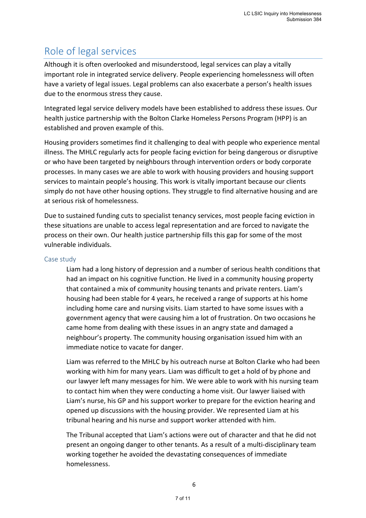# Role of legal services

Although it is often overlooked and misunderstood, legal services can play a vitally important role in integrated service delivery. People experiencing homelessness will often have a variety of legal issues. Legal problems can also exacerbate a person's health issues due to the enormous stress they cause.

Integrated legal service delivery models have been established to address these issues. Our health justice partnership with the Bolton Clarke Homeless Persons Program (HPP) is an established and proven example of this.

Housing providers sometimes find it challenging to deal with people who experience mental illness. The MHLC regularly acts for people facing eviction for being dangerous or disruptive or who have been targeted by neighbours through intervention orders or body corporate processes. In many cases we are able to work with housing providers and housing support services to maintain people's housing. This work is vitally important because our clients simply do not have other housing options. They struggle to find alternative housing and are at serious risk of homelessness.

Due to sustained funding cuts to specialist tenancy services, most people facing eviction in these situations are unable to access legal representation and are forced to navigate the process on their own. Our health justice partnership fills this gap for some of the most vulnerable individuals.

#### Case study

Liam had a long history of depression and a number of serious health conditions that had an impact on his cognitive function. He lived in a community housing property that contained a mix of community housing tenants and private renters. Liam's housing had been stable for 4 years, he received a range of supports at his home including home care and nursing visits. Liam started to have some issues with a government agency that were causing him a lot of frustration. On two occasions he came home from dealing with these issues in an angry state and damaged a neighbour's property. The community housing organisation issued him with an immediate notice to vacate for danger.

Liam was referred to the MHLC by his outreach nurse at Bolton Clarke who had been working with him for many years. Liam was difficult to get a hold of by phone and our lawyer left many messages for him. We were able to work with his nursing team to contact him when they were conducting a home visit. Our lawyer liaised with Liam's nurse, his GP and his support worker to prepare for the eviction hearing and opened up discussions with the housing provider. We represented Liam at his tribunal hearing and his nurse and support worker attended with him.

The Tribunal accepted that Liam's actions were out of character and that he did not present an ongoing danger to other tenants. As a result of a multi-disciplinary team working together he avoided the devastating consequences of immediate homelessness.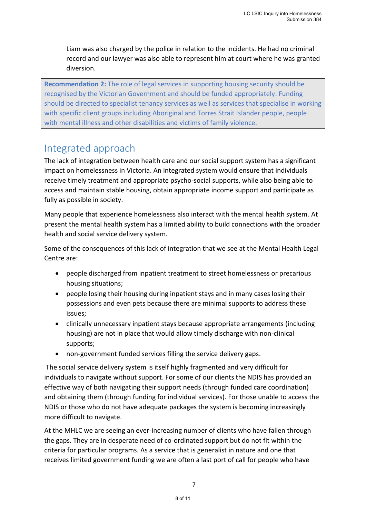Liam was also charged by the police in relation to the incidents. He had no criminal record and our lawyer was also able to represent him at court where he was granted diversion.

**Recommendation 2:** The role of legal services in supporting housing security should be recognised by the Victorian Government and should be funded appropriately. Funding should be directed to specialist tenancy services as well as services that specialise in working with specific client groups including Aboriginal and Torres Strait Islander people, people with mental illness and other disabilities and victims of family violence.

## Integrated approach

The lack of integration between health care and our social support system has a significant impact on homelessness in Victoria. An integrated system would ensure that individuals receive timely treatment and appropriate psycho-social supports, while also being able to access and maintain stable housing, obtain appropriate income support and participate as fully as possible in society.

Many people that experience homelessness also interact with the mental health system. At present the mental health system has a limited ability to build connections with the broader health and social service delivery system.

Some of the consequences of this lack of integration that we see at the Mental Health Legal Centre are:

- people discharged from inpatient treatment to street homelessness or precarious housing situations;
- people losing their housing during inpatient stays and in many cases losing their possessions and even pets because there are minimal supports to address these issues;
- clinically unnecessary inpatient stays because appropriate arrangements (including housing) are not in place that would allow timely discharge with non-clinical supports;
- non-government funded services filling the service delivery gaps.

The social service delivery system is itself highly fragmented and very difficult for individuals to navigate without support. For some of our clients the NDIS has provided an effective way of both navigating their support needs (through funded care coordination) and obtaining them (through funding for individual services). For those unable to access the NDIS or those who do not have adequate packages the system is becoming increasingly more difficult to navigate.

At the MHLC we are seeing an ever-increasing number of clients who have fallen through the gaps. They are in desperate need of co-ordinated support but do not fit within the criteria for particular programs. As a service that is generalist in nature and one that receives limited government funding we are often a last port of call for people who have

7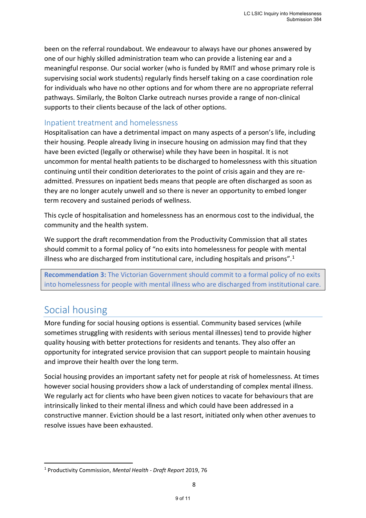been on the referral roundabout. We endeavour to always have our phones answered by one of our highly skilled administration team who can provide a listening ear and a meaningful response. Our social worker (who is funded by RMIT and whose primary role is supervising social work students) regularly finds herself taking on a case coordination role for individuals who have no other options and for whom there are no appropriate referral pathways. Similarly, the Bolton Clarke outreach nurses provide a range of non-clinical supports to their clients because of the lack of other options.

### Inpatient treatment and homelessness

Hospitalisation can have a detrimental impact on many aspects of a person's life, including their housing. People already living in insecure housing on admission may find that they have been evicted (legally or otherwise) while they have been in hospital. It is not uncommon for mental health patients to be discharged to homelessness with this situation continuing until their condition deteriorates to the point of crisis again and they are readmitted. Pressures on inpatient beds means that people are often discharged as soon as they are no longer acutely unwell and so there is never an opportunity to embed longer term recovery and sustained periods of wellness.

This cycle of hospitalisation and homelessness has an enormous cost to the individual, the community and the health system.

We support the draft recommendation from the Productivity Commission that all states should commit to a formal policy of "no exits into homelessness for people with mental illness who are discharged from institutional care, including hospitals and prisons". $1$ 

**Recommendation 3:** The Victorian Government should commit to a formal policy of no exits into homelessness for people with mental illness who are discharged from institutional care.

## Social housing

More funding for social housing options is essential. Community based services (while sometimes struggling with residents with serious mental illnesses) tend to provide higher quality housing with better protections for residents and tenants. They also offer an opportunity for integrated service provision that can support people to maintain housing and improve their health over the long term.

Social housing provides an important safety net for people at risk of homelessness. At times however social housing providers show a lack of understanding of complex mental illness. We regularly act for clients who have been given notices to vacate for behaviours that are intrinsically linked to their mental illness and which could have been addressed in a constructive manner. Eviction should be a last resort, initiated only when other avenues to resolve issues have been exhausted.

<sup>1</sup> Productivity Commission, *Mental Health - Draft Report* 2019, 76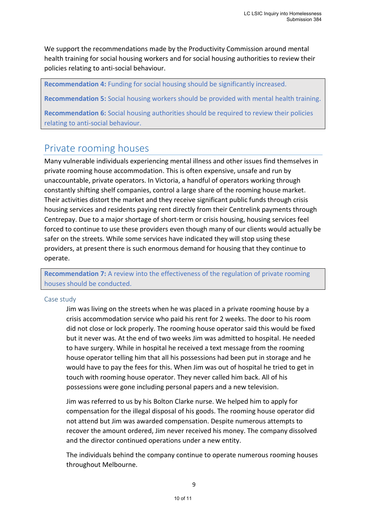We support the recommendations made by the Productivity Commission around mental health training for social housing workers and for social housing authorities to review their policies relating to anti-social behaviour.

**Recommendation 4:** Funding for social housing should be significantly increased.

**Recommendation 5:** Social housing workers should be provided with mental health training.

**Recommendation 6:** Social housing authorities should be required to review their policies relating to anti-social behaviour.

### Private rooming houses

Many vulnerable individuals experiencing mental illness and other issues find themselves in private rooming house accommodation. This is often expensive, unsafe and run by unaccountable, private operators. In Victoria, a handful of operators working through constantly shifting shelf companies, control a large share of the rooming house market. Their activities distort the market and they receive significant public funds through crisis housing services and residents paying rent directly from their Centrelink payments through Centrepay. Due to a major shortage of short-term or crisis housing, housing services feel forced to continue to use these providers even though many of our clients would actually be safer on the streets. While some services have indicated they will stop using these providers, at present there is such enormous demand for housing that they continue to operate.

**Recommendation 7:** A review into the effectiveness of the regulation of private rooming houses should be conducted.

#### Case study

Jim was living on the streets when he was placed in a private rooming house by a crisis accommodation service who paid his rent for 2 weeks. The door to his room did not close or lock properly. The rooming house operator said this would be fixed but it never was. At the end of two weeks Jim was admitted to hospital. He needed to have surgery. While in hospital he received a text message from the rooming house operator telling him that all his possessions had been put in storage and he would have to pay the fees for this. When Jim was out of hospital he tried to get in touch with rooming house operator. They never called him back. All of his possessions were gone including personal papers and a new television.

Jim was referred to us by his Bolton Clarke nurse. We helped him to apply for compensation for the illegal disposal of his goods. The rooming house operator did not attend but Jim was awarded compensation. Despite numerous attempts to recover the amount ordered, Jim never received his money. The company dissolved and the director continued operations under a new entity.

The individuals behind the company continue to operate numerous rooming houses throughout Melbourne.